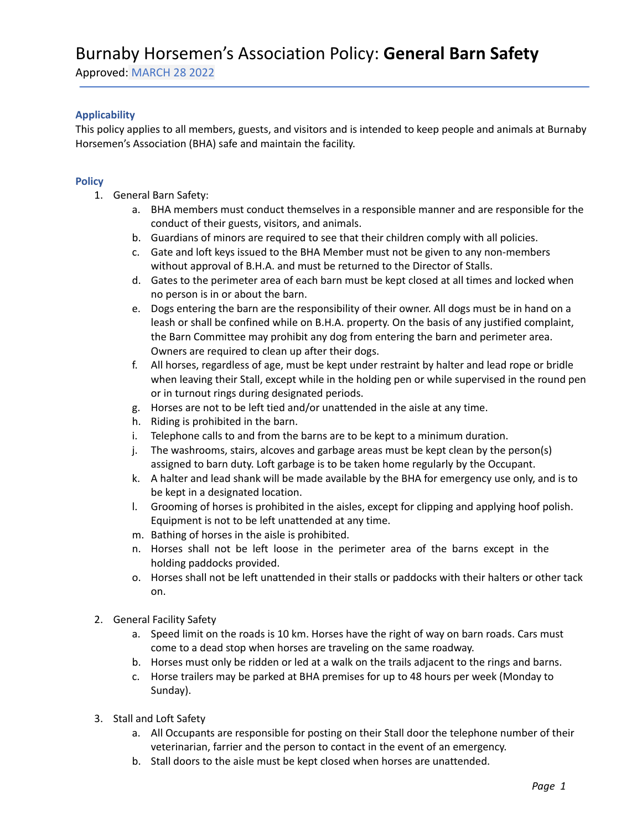# Burnaby Horsemen's Association Policy: **General Barn Safety**

Approved: MARCH 28 2022

## **Applicability**

This policy applies to all members, guests, and visitors and is intended to keep people and animals at Burnaby Horsemen's Association (BHA) safe and maintain the facility.

### **Policy**

- 1. General Barn Safety:
	- a. BHA members must conduct themselves in a responsible manner and are responsible for the conduct of their guests, visitors, and animals.
	- b. Guardians of minors are required to see that their children comply with all policies.
	- c. Gate and loft keys issued to the BHA Member must not be given to any non-members without approval of B.H.A. and must be returned to the Director of Stalls.
	- d. Gates to the perimeter area of each barn must be kept closed at all times and locked when no person is in or about the barn.
	- e. Dogs entering the barn are the responsibility of their owner. All dogs must be in hand on a leash or shall be confined while on B.H.A. property. On the basis of any justified complaint, the Barn Committee may prohibit any dog from entering the barn and perimeter area. Owners are required to clean up after their dogs.
	- f. All horses, regardless of age, must be kept under restraint by halter and lead rope or bridle when leaving their Stall, except while in the holding pen or while supervised in the round pen or in turnout rings during designated periods.
	- g. Horses are not to be left tied and/or unattended in the aisle at any time.
	- h. Riding is prohibited in the barn.
	- i. Telephone calls to and from the barns are to be kept to a minimum duration.
	- j. The washrooms, stairs, alcoves and garbage areas must be kept clean by the person(s) assigned to barn duty. Loft garbage is to be taken home regularly by the Occupant.
	- k. A halter and lead shank will be made available by the BHA for emergency use only, and is to be kept in a designated location.
	- l. Grooming of horses is prohibited in the aisles, except for clipping and applying hoof polish. Equipment is not to be left unattended at any time.
	- m. Bathing of horses in the aisle is prohibited.
	- n. Horses shall not be left loose in the perimeter area of the barns except in the holding paddocks provided.
	- o. Horses shall not be left unattended in their stalls or paddocks with their halters or other tack on.
- 2. General Facility Safety
	- a. Speed limit on the roads is 10 km. Horses have the right of way on barn roads. Cars must come to a dead stop when horses are traveling on the same roadway.
	- b. Horses must only be ridden or led at a walk on the trails adjacent to the rings and barns.
	- c. Horse trailers may be parked at BHA premises for up to 48 hours per week (Monday to Sunday).
- 3. Stall and Loft Safety
	- a. All Occupants are responsible for posting on their Stall door the telephone number of their veterinarian, farrier and the person to contact in the event of an emergency.
	- b. Stall doors to the aisle must be kept closed when horses are unattended.